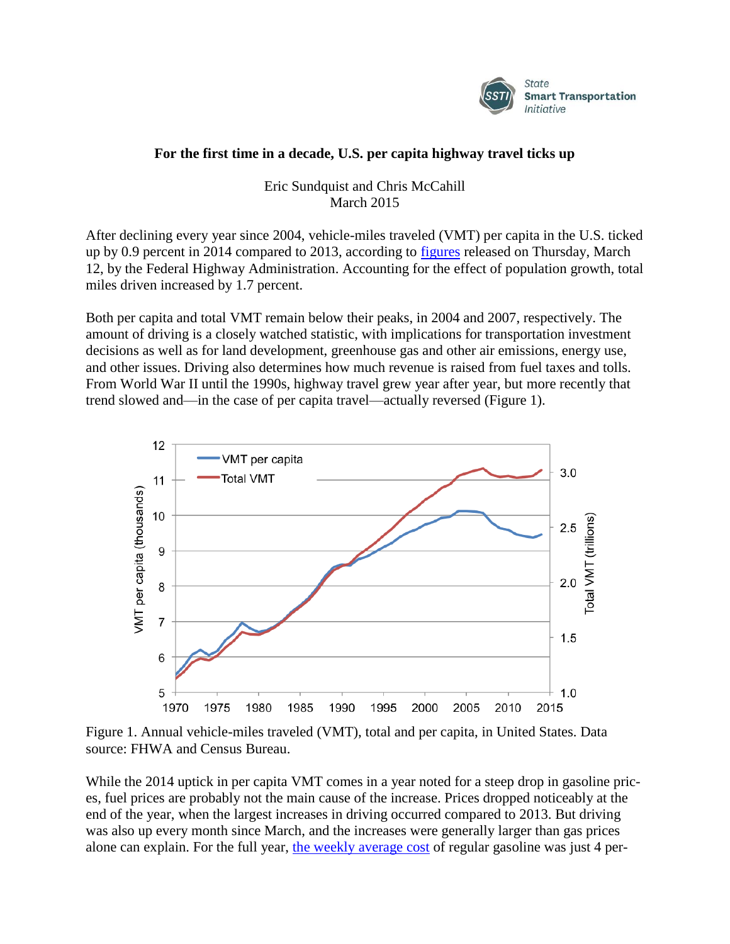

## **For the first time in a decade, U.S. per capita highway travel ticks up**

Eric Sundquist and Chris McCahill March 2015

After declining every year since 2004, vehicle-miles traveled (VMT) per capita in the U.S. ticked up by 0.9 percent in 2014 compared to 2013, according to [figures](http://www.fhwa.dot.gov/policyinformation/travel_monitoring/tvt.cfm) released on Thursday, March 12, by the Federal Highway Administration. Accounting for the effect of population growth, total miles driven increased by 1.7 percent.

Both per capita and total VMT remain below their peaks, in 2004 and 2007, respectively. The amount of driving is a closely watched statistic, with implications for transportation investment decisions as well as for land development, greenhouse gas and other air emissions, energy use, and other issues. Driving also determines how much revenue is raised from fuel taxes and tolls. From World War II until the 1990s, highway travel grew year after year, but more recently that trend slowed and—in the case of per capita travel—actually reversed (Figure 1).



Figure 1. Annual vehicle-miles traveled (VMT), total and per capita, in United States. Data source: FHWA and Census Bureau.

While the 2014 uptick in per capita VMT comes in a year noted for a steep drop in gasoline prices, fuel prices are probably not the main cause of the increase. Prices dropped noticeably at the end of the year, when the largest increases in driving occurred compared to 2013. But driving was also up every month since March, and the increases were generally larger than gas prices alone can explain. For the full year, [the weekly average cost](http://www.eia.gov/petroleum/gasdiesel/xls/pswrgvwall.xls) of regular gasoline was just 4 per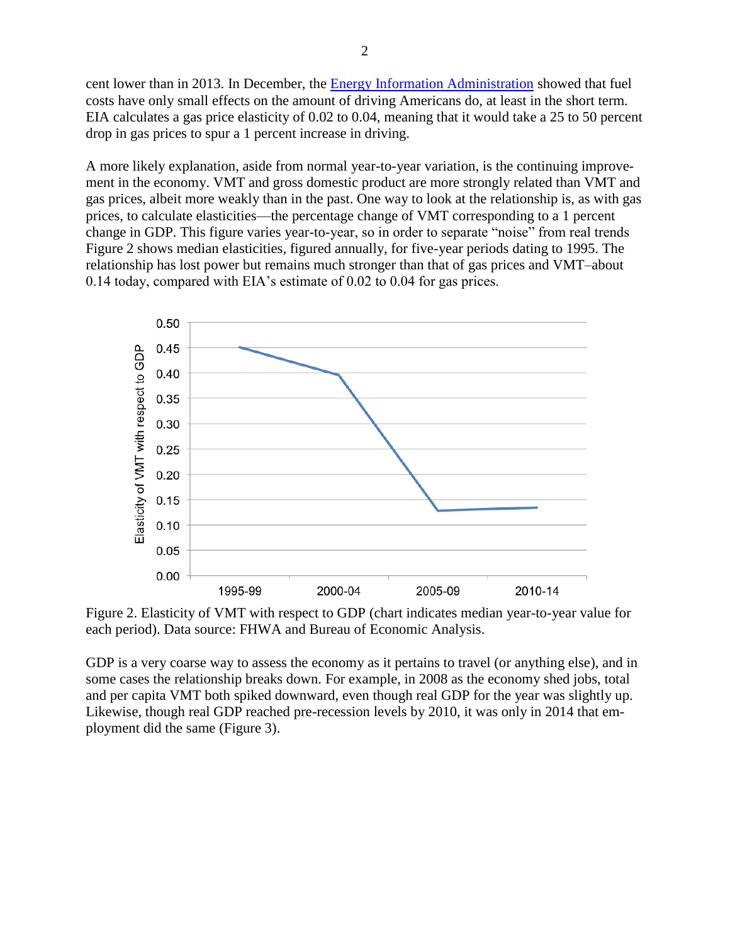cent lower than in 2013. In December, the [Energy Information Administration](http://www.eia.gov/todayinenergy/detail.cfm?id=19191) showed that fuel costs have only small effects on the amount of driving Americans do, at least in the short term. EIA calculates a gas price elasticity of 0.02 to 0.04, meaning that it would take a 25 to 50 percent drop in gas prices to spur a 1 percent increase in driving.

A more likely explanation, aside from normal year-to-year variation, is the continuing improvement in the economy. VMT and gross domestic product are more strongly related than VMT and gas prices, albeit more weakly than in the past. One way to look at the relationship is, as with gas prices, to calculate elasticities—the percentage change of VMT corresponding to a 1 percent change in GDP. This figure varies year-to-year, so in order to separate "noise" from real trends Figure 2 shows median elasticities, figured annually, for five-year periods dating to 1995. The relationship has lost power but remains much stronger than that of gas prices and VMT–about 0.14 today, compared with EIA's estimate of 0.02 to 0.04 for gas prices.



Figure 2. Elasticity of VMT with respect to GDP (chart indicates median year-to-year value for each period). Data source: FHWA and Bureau of Economic Analysis.

GDP is a very coarse way to assess the economy as it pertains to travel (or anything else), and in some cases the relationship breaks down. For example, in 2008 as the economy shed jobs, total and per capita VMT both spiked downward, even though real GDP for the year was slightly up. Likewise, though real GDP reached pre-recession levels by 2010, it was only in 2014 that employment did the same (Figure 3).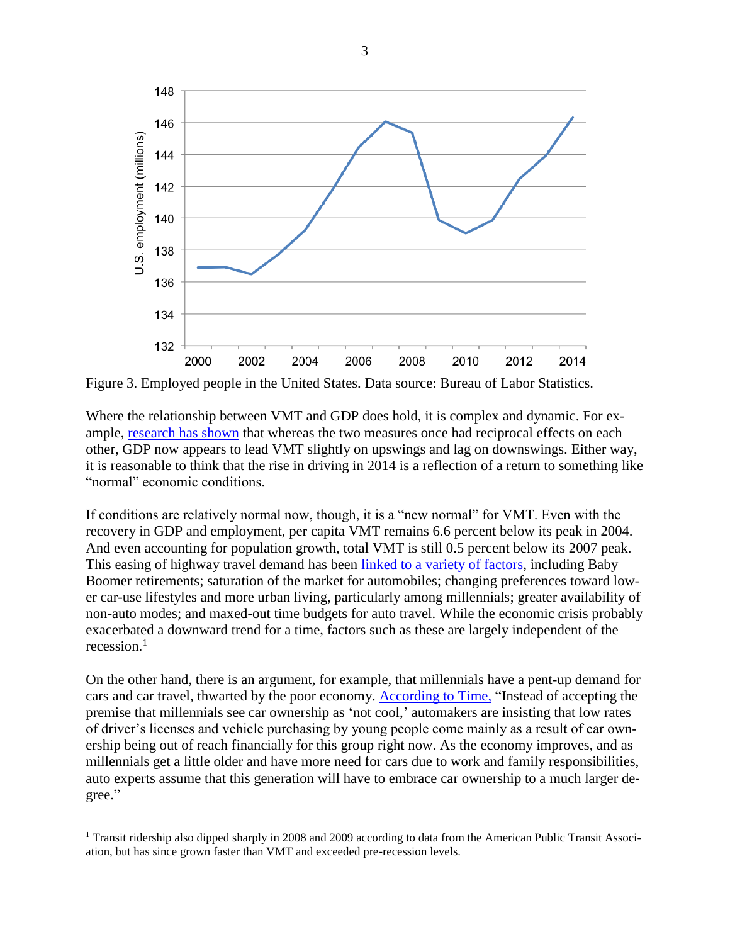

Figure 3. Employed people in the United States. Data source: Bureau of Labor Statistics.

Where the relationship between VMT and GDP does hold, it is complex and dynamic. For example, [research has shown](http://trid.trb.org/view.aspx?id=1239652) that whereas the two measures once had reciprocal effects on each other, GDP now appears to lead VMT slightly on upswings and lag on downswings. Either way, it is reasonable to think that the rise in driving in 2014 is a reflection of a return to something like "normal" economic conditions.

If conditions are relatively normal now, though, it is a "new normal" for VMT. Even with the recovery in GDP and employment, per capita VMT remains 6.6 percent below its peak in 2004. And even accounting for population growth, total VMT is still 0.5 percent below its 2007 peak. This easing of highway travel demand has been [linked to a variety of factors,](http://www.ssti.us/2013/09/vmt-inflection-point-factors-affecting-21st-century-travel-ssti-2013/) including Baby Boomer retirements; saturation of the market for automobiles; changing preferences toward lower car-use lifestyles and more urban living, particularly among millennials; greater availability of non-auto modes; and maxed-out time budgets for auto travel. While the economic crisis probably exacerbated a downward trend for a time, factors such as these are largely independent of the recession. $1$ 

On the other hand, there is an argument, for example, that millennials have a pent-up demand for cars and car travel, thwarted by the poor economy. [According to Time,](http://business.time.com/2013/08/09/the-great-debate-do-millennials-really-want-cars-or-not/) "Instead of accepting the premise that millennials see car ownership as 'not cool,' automakers are insisting that low rates of driver's licenses and vehicle purchasing by young people come mainly as a result of car ownership being out of reach financially for this group right now. As the economy improves, and as millennials get a little older and have more need for cars due to work and family responsibilities, auto experts assume that this generation will have to embrace car ownership to a much larger degree."

 $\overline{a}$ 

<sup>&</sup>lt;sup>1</sup> Transit ridership also dipped sharply in 2008 and 2009 according to data from the American Public Transit Association, but has since grown faster than VMT and exceeded pre-recession levels.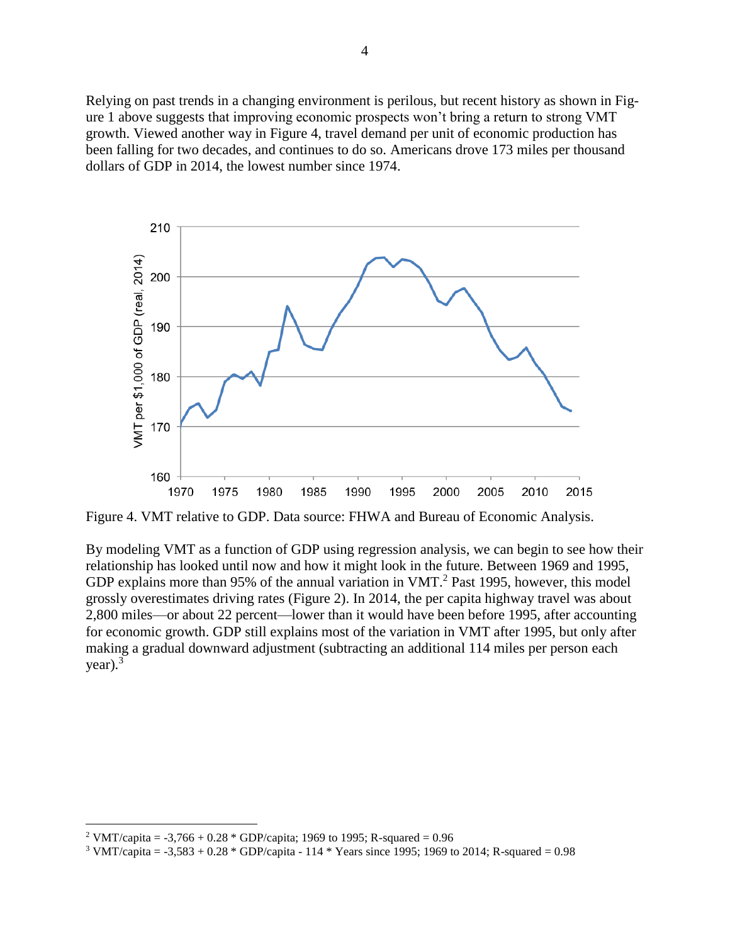Relying on past trends in a changing environment is perilous, but recent history as shown in Figure 1 above suggests that improving economic prospects won't bring a return to strong VMT growth. Viewed another way in Figure 4, travel demand per unit of economic production has been falling for two decades, and continues to do so. Americans drove 173 miles per thousand dollars of GDP in 2014, the lowest number since 1974.



Figure 4. VMT relative to GDP. Data source: FHWA and Bureau of Economic Analysis.

By modeling VMT as a function of GDP using regression analysis, we can begin to see how their relationship has looked until now and how it might look in the future. Between 1969 and 1995, GDP explains more than 95% of the annual variation in VMT.<sup>2</sup> Past 1995, however, this model grossly overestimates driving rates (Figure 2). In 2014, the per capita highway travel was about 2,800 miles—or about 22 percent—lower than it would have been before 1995, after accounting for economic growth. GDP still explains most of the variation in VMT after 1995, but only after making a gradual downward adjustment (subtracting an additional 114 miles per person each year). $3$ 

 $\overline{a}$ 

<sup>&</sup>lt;sup>2</sup> VMT/capita =  $-3,766 + 0.28 * GDP/capita$ ; 1969 to 1995; R-squared = 0.96

<sup>&</sup>lt;sup>3</sup> VMT/capita =  $-3,583 + 0.28 *$  GDP/capita - 114 \* Years since 1995; 1969 to 2014; R-squared = 0.98